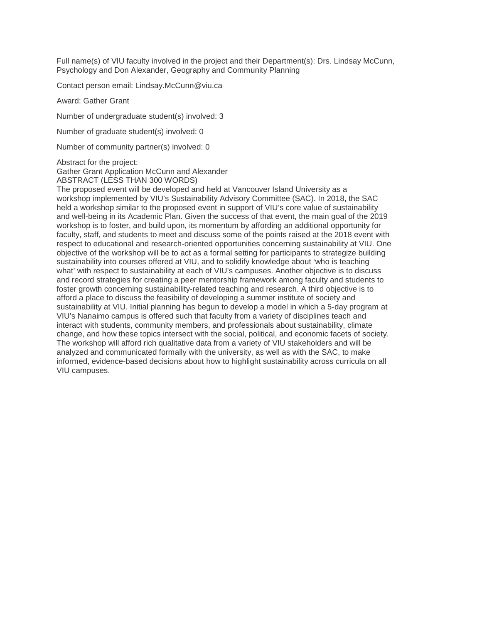Full name(s) of VIU faculty involved in the project and their Department(s): Drs. Lindsay McCunn, Psychology and Don Alexander, Geography and Community Planning

Contact person email: Lindsay.McCunn@viu.ca

Award: Gather Grant

Number of undergraduate student(s) involved: 3

Number of graduate student(s) involved: 0

Number of community partner(s) involved: 0

Abstract for the project:

Gather Grant Application McCunn and Alexander

ABSTRACT (LESS THAN 300 WORDS)

The proposed event will be developed and held at Vancouver Island University as a workshop implemented by VIU's Sustainability Advisory Committee (SAC). In 2018, the SAC held a workshop similar to the proposed event in support of VIU's core value of sustainability and well-being in its Academic Plan. Given the success of that event, the main goal of the 2019 workshop is to foster, and build upon, its momentum by affording an additional opportunity for faculty, staff, and students to meet and discuss some of the points raised at the 2018 event with respect to educational and research-oriented opportunities concerning sustainability at VIU. One objective of the workshop will be to act as a formal setting for participants to strategize building sustainability into courses offered at VIU, and to solidify knowledge about 'who is teaching what' with respect to sustainability at each of VIU's campuses. Another objective is to discuss and record strategies for creating a peer mentorship framework among faculty and students to foster growth concerning sustainability-related teaching and research. A third objective is to afford a place to discuss the feasibility of developing a summer institute of society and sustainability at VIU. Initial planning has begun to develop a model in which a 5-day program at VIU's Nanaimo campus is offered such that faculty from a variety of disciplines teach and interact with students, community members, and professionals about sustainability, climate change, and how these topics intersect with the social, political, and economic facets of society. The workshop will afford rich qualitative data from a variety of VIU stakeholders and will be analyzed and communicated formally with the university, as well as with the SAC, to make informed, evidence-based decisions about how to highlight sustainability across curricula on all VIU campuses.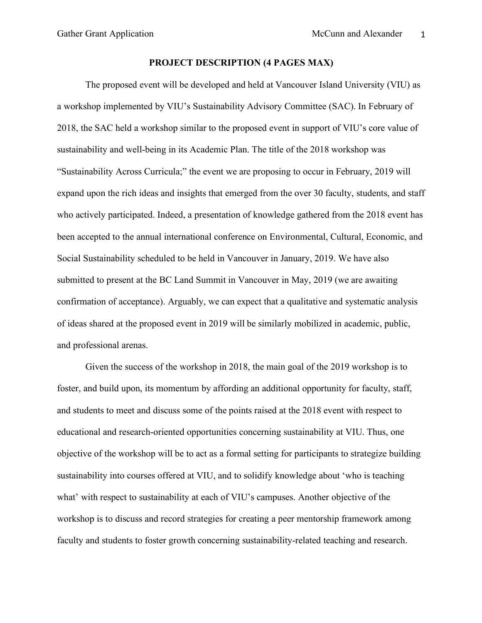## **PROJECT DESCRIPTION (4 PAGES MAX)**

The proposed event will be developed and held at Vancouver Island University (VIU) as a workshop implemented by VIU's Sustainability Advisory Committee (SAC). In February of 2018, the SAC held a workshop similar to the proposed event in support of VIU's core value of sustainability and well-being in its Academic Plan. The title of the 2018 workshop was "Sustainability Across Curricula;" the event we are proposing to occur in February, 2019 will expand upon the rich ideas and insights that emerged from the over 30 faculty, students, and staff who actively participated. Indeed, a presentation of knowledge gathered from the 2018 event has been accepted to the annual international conference on Environmental, Cultural, Economic, and Social Sustainability scheduled to be held in Vancouver in January, 2019. We have also submitted to present at the BC Land Summit in Vancouver in May, 2019 (we are awaiting confirmation of acceptance). Arguably, we can expect that a qualitative and systematic analysis of ideas shared at the proposed event in 2019 will be similarly mobilized in academic, public, and professional arenas.

Given the success of the workshop in 2018, the main goal of the 2019 workshop is to foster, and build upon, its momentum by affording an additional opportunity for faculty, staff, and students to meet and discuss some of the points raised at the 2018 event with respect to educational and research-oriented opportunities concerning sustainability at VIU. Thus, one objective of the workshop will be to act as a formal setting for participants to strategize building sustainability into courses offered at VIU, and to solidify knowledge about 'who is teaching what' with respect to sustainability at each of VIU's campuses. Another objective of the workshop is to discuss and record strategies for creating a peer mentorship framework among faculty and students to foster growth concerning sustainability-related teaching and research.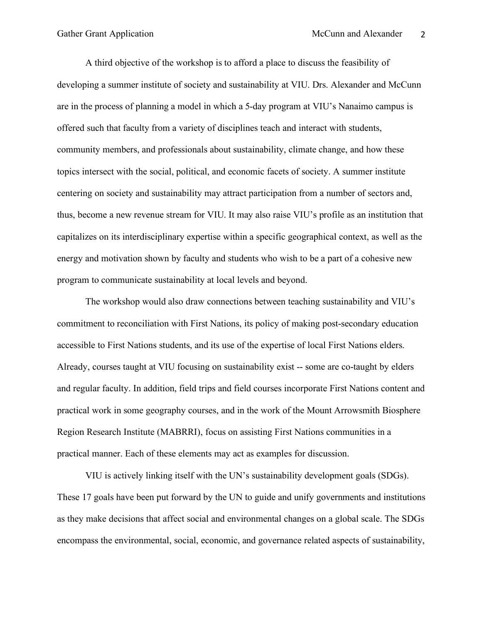A third objective of the workshop is to afford a place to discuss the feasibility of developing a summer institute of society and sustainability at VIU. Drs. Alexander and McCunn are in the process of planning a model in which a 5-day program at VIU's Nanaimo campus is offered such that faculty from a variety of disciplines teach and interact with students, community members, and professionals about sustainability, climate change, and how these topics intersect with the social, political, and economic facets of society. A summer institute centering on society and sustainability may attract participation from a number of sectors and, thus, become a new revenue stream for VIU. It may also raise VIU's profile as an institution that capitalizes on its interdisciplinary expertise within a specific geographical context, as well as the energy and motivation shown by faculty and students who wish to be a part of a cohesive new program to communicate sustainability at local levels and beyond.

The workshop would also draw connections between teaching sustainability and VIU's commitment to reconciliation with First Nations, its policy of making post-secondary education accessible to First Nations students, and its use of the expertise of local First Nations elders. Already, courses taught at VIU focusing on sustainability exist -- some are co-taught by elders and regular faculty. In addition, field trips and field courses incorporate First Nations content and practical work in some geography courses, and in the work of the Mount Arrowsmith Biosphere Region Research Institute (MABRRI), focus on assisting First Nations communities in a practical manner. Each of these elements may act as examples for discussion.

VIU is actively linking itself with the UN's sustainability development goals (SDGs). These 17 goals have been put forward by the UN to guide and unify governments and institutions as they make decisions that affect social and environmental changes on a global scale. The SDGs encompass the environmental, social, economic, and governance related aspects of sustainability,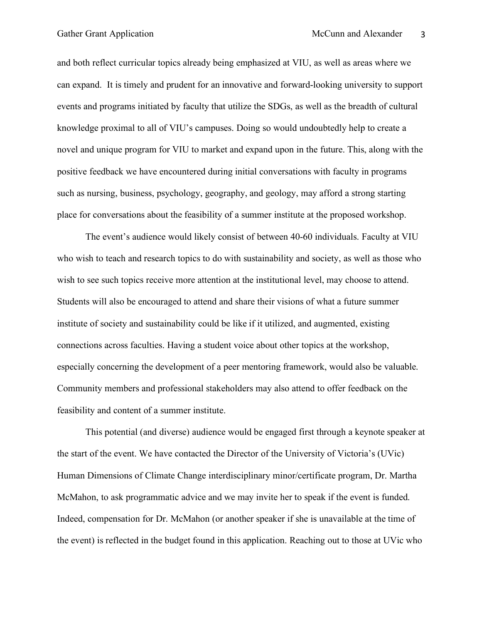and both reflect curricular topics already being emphasized at VIU, as well as areas where we can expand. It is timely and prudent for an innovative and forward-looking university to support events and programs initiated by faculty that utilize the SDGs, as well as the breadth of cultural knowledge proximal to all of VIU's campuses. Doing so would undoubtedly help to create a novel and unique program for VIU to market and expand upon in the future. This, along with the positive feedback we have encountered during initial conversations with faculty in programs such as nursing, business, psychology, geography, and geology, may afford a strong starting place for conversations about the feasibility of a summer institute at the proposed workshop.

The event's audience would likely consist of between 40-60 individuals. Faculty at VIU who wish to teach and research topics to do with sustainability and society, as well as those who wish to see such topics receive more attention at the institutional level, may choose to attend. Students will also be encouraged to attend and share their visions of what a future summer institute of society and sustainability could be like if it utilized, and augmented, existing connections across faculties. Having a student voice about other topics at the workshop, especially concerning the development of a peer mentoring framework, would also be valuable. Community members and professional stakeholders may also attend to offer feedback on the feasibility and content of a summer institute.

This potential (and diverse) audience would be engaged first through a keynote speaker at the start of the event. We have contacted the Director of the University of Victoria's (UVic) Human Dimensions of Climate Change interdisciplinary minor/certificate program, Dr. Martha McMahon, to ask programmatic advice and we may invite her to speak if the event is funded. Indeed, compensation for Dr. McMahon (or another speaker if she is unavailable at the time of the event) is reflected in the budget found in this application. Reaching out to those at UVic who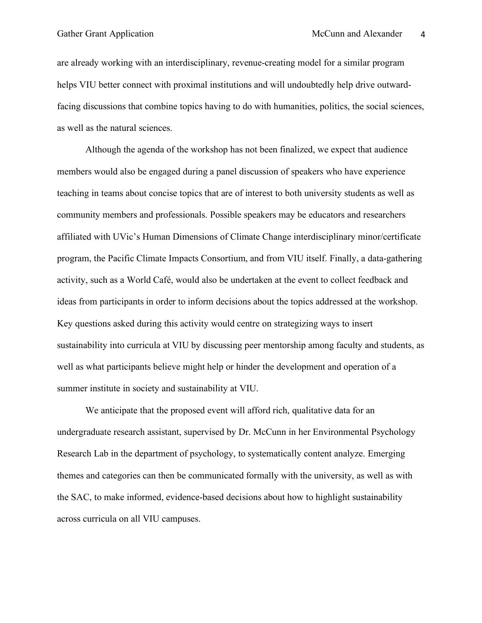are already working with an interdisciplinary, revenue-creating model for a similar program helps VIU better connect with proximal institutions and will undoubtedly help drive outwardfacing discussions that combine topics having to do with humanities, politics, the social sciences, as well as the natural sciences.

Although the agenda of the workshop has not been finalized, we expect that audience members would also be engaged during a panel discussion of speakers who have experience teaching in teams about concise topics that are of interest to both university students as well as community members and professionals. Possible speakers may be educators and researchers affiliated with UVic's Human Dimensions of Climate Change interdisciplinary minor/certificate program, the Pacific Climate Impacts Consortium, and from VIU itself. Finally, a data-gathering activity, such as a World Café, would also be undertaken at the event to collect feedback and ideas from participants in order to inform decisions about the topics addressed at the workshop. Key questions asked during this activity would centre on strategizing ways to insert sustainability into curricula at VIU by discussing peer mentorship among faculty and students, as well as what participants believe might help or hinder the development and operation of a summer institute in society and sustainability at VIU.

We anticipate that the proposed event will afford rich, qualitative data for an undergraduate research assistant, supervised by Dr. McCunn in her Environmental Psychology Research Lab in the department of psychology, to systematically content analyze. Emerging themes and categories can then be communicated formally with the university, as well as with the SAC, to make informed, evidence-based decisions about how to highlight sustainability across curricula on all VIU campuses.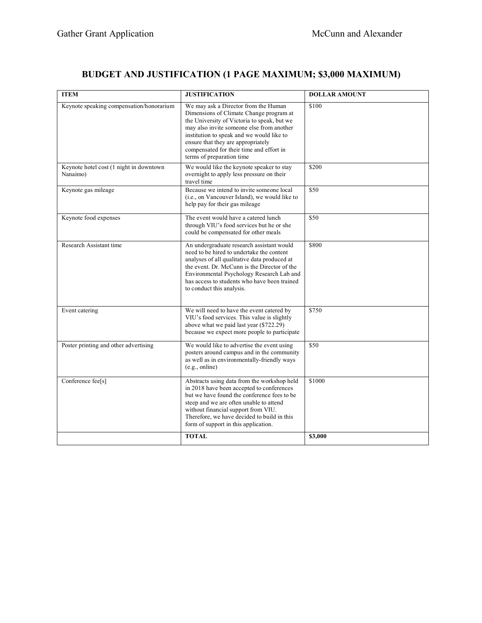## **BUDGET AND JUSTIFICATION (1 PAGE MAXIMUM; \$3,000 MAXIMUM)**

| <b>ITEM</b>                                         | <b>JUSTIFICATION</b>                                                                                                                                                                                                                                                                                                                    | <b>DOLLAR AMOUNT</b> |
|-----------------------------------------------------|-----------------------------------------------------------------------------------------------------------------------------------------------------------------------------------------------------------------------------------------------------------------------------------------------------------------------------------------|----------------------|
| Keynote speaking compensation/honorarium            | We may ask a Director from the Human<br>Dimensions of Climate Change program at<br>the University of Victoria to speak, but we<br>may also invite someone else from another<br>institution to speak and we would like to<br>ensure that they are appropriately<br>compensated for their time and effort in<br>terms of preparation time | \$100                |
| Keynote hotel cost (1 night in downtown<br>Nanaimo) | We would like the keynote speaker to stay<br>overnight to apply less pressure on their<br>travel time                                                                                                                                                                                                                                   | \$200                |
| Keynote gas mileage                                 | Because we intend to invite someone local<br>(i.e., on Vancouver Island), we would like to<br>help pay for their gas mileage                                                                                                                                                                                                            | \$50                 |
| Keynote food expenses                               | The event would have a catered lunch<br>through VIU's food services but he or she<br>could be compensated for other meals                                                                                                                                                                                                               | $\overline{$}50$     |
| Research Assistant time                             | An undergraduate research assistant would<br>need to be hired to undertake the content<br>analyses of all qualitative data produced at<br>the event. Dr. McCunn is the Director of the<br>Environmental Psychology Research Lab and<br>has access to students who have been trained<br>to conduct this analysis.                        | \$800                |
| Event catering                                      | We will need to have the event catered by<br>VIU's food services. This value is slightly<br>above what we paid last year (\$722.29)<br>because we expect more people to participate                                                                                                                                                     | \$750                |
| Poster printing and other advertising               | We would like to advertise the event using<br>posters around campus and in the community<br>as well as in environmentally-friendly ways<br>(e.g., online)                                                                                                                                                                               | \$50                 |
| Conference fee[s]                                   | Abstracts using data from the workshop held<br>in 2018 have been accepted to conferences<br>but we have found the conference fees to be<br>steep and we are often unable to attend<br>without financial support from VIU.<br>Therefore, we have decided to build in this<br>form of support in this application.                        | \$1000               |
|                                                     | <b>TOTAL</b>                                                                                                                                                                                                                                                                                                                            | \$3,000              |